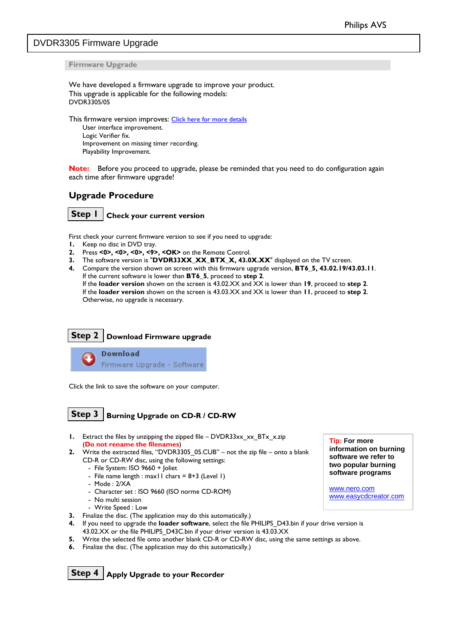## <span id="page-0-0"></span>DVDR3305 Firmware Upgrade

**Firmware Upgrade** 

We have developed a firmware upgrade to improve your product. This upgrade is applicable for the following models: DVDR3305/05

This firmware version improves: [Click here for more details](#page-1-0) User interface improvement. Logic Verifier fix. Improvement on missing timer recording. Playability Improvement.

**Note:** Before you proceed to upgrade, please be reminded that you need to do configuration again each time after firmware upgrade!

### **Upgrade Procedure**

**Step 1 Check your current version** 

First check your current firmware version to see if you need to upgrade:

- **1.** Keep no disc in DVD tray.
- **2.** Press **<0>, <0>, <0>, <9>, <OK>** on the Remote Control.
- **3.** The software version is "**DVDR33XX\_XX\_BTX\_X, 43.0X.XX**" displayed on the TV screen.

Ļ

**4.** Compare the version shown on screen with this firmware upgrade version, **BT6\_5, 43.02.19/43.03.11**. If the current software is lower than **BT6\_5**, proceed to **step 2**. If the **loader version** shown on the screen is 43.02.XX and XX is lower than **19**, proceed to **step 2**. If the **loader version** shown on the screen is 43.03.XX and XX is lower than **11**, proceed to **step 2**. Otherwise, no upgrade is necessary.

## **Step 2 Download Firmware upgrade**

**Download** Firmware Upgrade - Software

Click the link to save the software on your computer.

```
Step 3 Burning Upgrade on CD-R / CD-RW
```
- **1.** Extract the files by unzipping the zipped file DVDR33xx\_xx\_BTx\_x.zip  $\overline{I}$  **Tip: For more** (**Do not rename the filenames**)
- **2.** Write the extracted files, "DVDR3305\_05.CUB" not the zip file onto a blank CD-R or CD-RW disc, using the following settings:
	- File System: ISO 9660 + Joliet
	- File name length : max11 chars =  $8+3$  (Level 1)
	- Mode : 2/XA
	- Character set : ISO 9660 (ISO norme CD-ROM)
	- No multi session
	- Write Speed : Low
- **3.** Finalize the disc. (The application may do this automatically.)
- **4.** If you need to upgrade the **loader software**, select the file PHILIPS\_D43.bin if your drive version is 43.02.XX or the file PHILIPS\_D43C.bin if your driver version is 43.03.XX
- **5.** Write the selected file onto another blank CD-R or CD-RW disc, using the same settings as above.
- **6.** Finalize the disc. (The application may do this automatically.)

**Step 4 Apply Upgrade to your Recorder** 

**information on burning software we refer to two popular burning software programs** 

[www.nero.com](http://www.nero.com/) [www.easycdcreator.com](http://www.easycdcreator.com/)